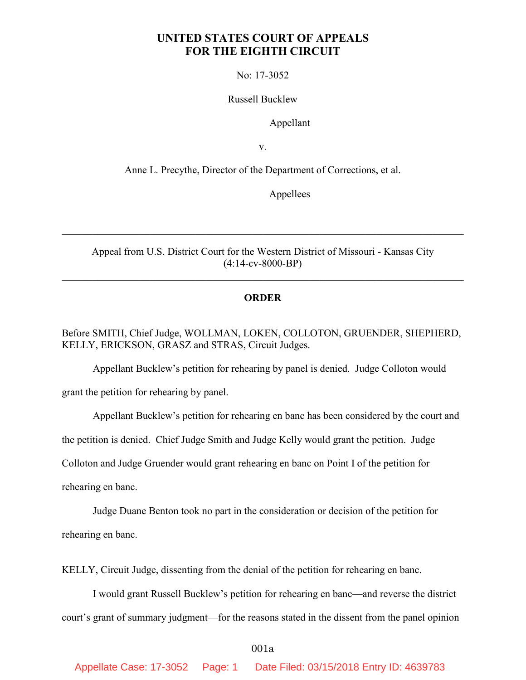## **UNITED STATES COURT OF APPEALS FOR THE EIGHTH CIRCUIT**

No: 17-3052

Russell Bucklew

Appellant

v.

Anne L. Precythe, Director of the Department of Corrections, et al.

Appellees

Appeal from U.S. District Court for the Western District of Missouri - Kansas City (4:14-cv-8000-BP)

## **ORDER**

Before SMITH, Chief Judge, WOLLMAN, LOKEN, COLLOTON, GRUENDER, SHEPHERD, KELLY, ERICKSON, GRASZ and STRAS, Circuit Judges.

 Appellant Bucklew's petition for rehearing by panel is denied. Judge Colloton would grant the petition for rehearing by panel.

Appellant Bucklew's petition for rehearing en banc has been considered by the court and

the petition is denied. Chief Judge Smith and Judge Kelly would grant the petition. Judge

Colloton and Judge Gruender would grant rehearing en banc on Point I of the petition for

rehearing en banc.

 Judge Duane Benton took no part in the consideration or decision of the petition for rehearing en banc.

KELLY, Circuit Judge, dissenting from the denial of the petition for rehearing en banc.

 I would grant Russell Bucklew's petition for rehearing en banc—and reverse the district court's grant of summary judgment—for the reasons stated in the dissent from the panel opinion